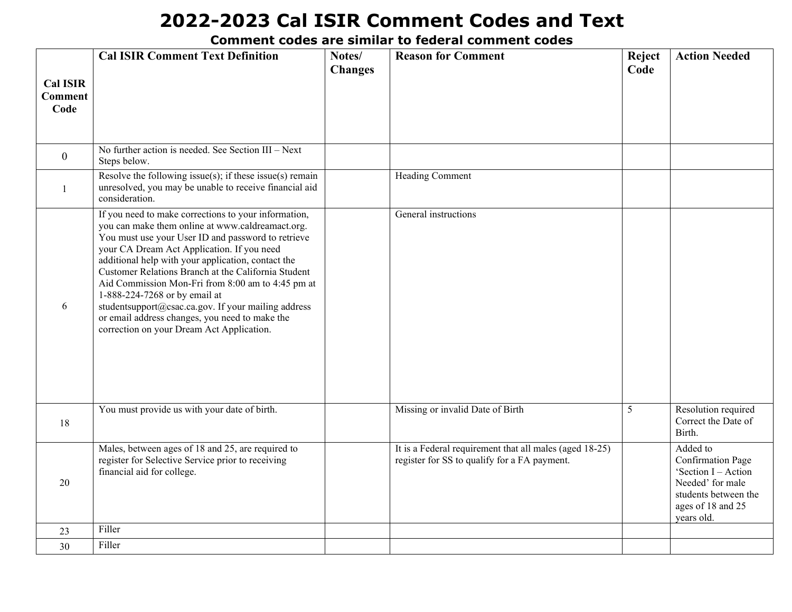|                                           | <b>Cal ISIR Comment Text Definition</b>                                                                                                                                                                                                                                                                                                                                                                                                                                                                                                                               | Notes/<br><b>Changes</b> | <b>Reason for Comment</b>                                                                               | Reject<br>Code | <b>Action Needed</b>                                                                                                                       |
|-------------------------------------------|-----------------------------------------------------------------------------------------------------------------------------------------------------------------------------------------------------------------------------------------------------------------------------------------------------------------------------------------------------------------------------------------------------------------------------------------------------------------------------------------------------------------------------------------------------------------------|--------------------------|---------------------------------------------------------------------------------------------------------|----------------|--------------------------------------------------------------------------------------------------------------------------------------------|
| <b>Cal ISIR</b><br><b>Comment</b><br>Code |                                                                                                                                                                                                                                                                                                                                                                                                                                                                                                                                                                       |                          |                                                                                                         |                |                                                                                                                                            |
| $\mathbf{0}$                              | No further action is needed. See Section III - Next<br>Steps below.                                                                                                                                                                                                                                                                                                                                                                                                                                                                                                   |                          |                                                                                                         |                |                                                                                                                                            |
| -1                                        | Resolve the following issue(s); if these issue(s) remain<br>unresolved, you may be unable to receive financial aid<br>consideration.                                                                                                                                                                                                                                                                                                                                                                                                                                  |                          | Heading Comment                                                                                         |                |                                                                                                                                            |
| 6                                         | If you need to make corrections to your information,<br>you can make them online at www.caldreamact.org.<br>You must use your User ID and password to retrieve<br>your CA Dream Act Application. If you need<br>additional help with your application, contact the<br>Customer Relations Branch at the California Student<br>Aid Commission Mon-Fri from 8:00 am to 4:45 pm at<br>1-888-224-7268 or by email at<br>studentsupport@csac.ca.gov. If your mailing address<br>or email address changes, you need to make the<br>correction on your Dream Act Application. |                          | General instructions                                                                                    |                |                                                                                                                                            |
| 18                                        | You must provide us with your date of birth.                                                                                                                                                                                                                                                                                                                                                                                                                                                                                                                          |                          | Missing or invalid Date of Birth                                                                        | 5              | Resolution required<br>Correct the Date of<br>Birth.                                                                                       |
| 20                                        | Males, between ages of 18 and 25, are required to<br>register for Selective Service prior to receiving<br>financial aid for college.                                                                                                                                                                                                                                                                                                                                                                                                                                  |                          | It is a Federal requirement that all males (aged 18-25)<br>register for SS to qualify for a FA payment. |                | Added to<br><b>Confirmation Page</b><br>'Section I - Action<br>Needed' for male<br>students between the<br>ages of 18 and 25<br>years old. |
| 23                                        | Filler                                                                                                                                                                                                                                                                                                                                                                                                                                                                                                                                                                |                          |                                                                                                         |                |                                                                                                                                            |
| 30                                        | Filler                                                                                                                                                                                                                                                                                                                                                                                                                                                                                                                                                                |                          |                                                                                                         |                |                                                                                                                                            |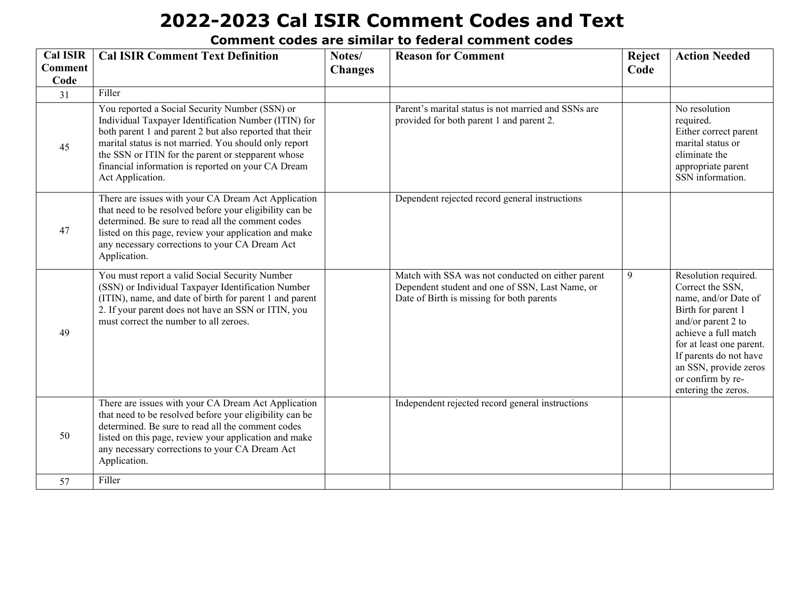| <b>Cal ISIR</b>        | <b>Cal ISIR Comment Text Definition</b>                                                                                                                                                                                                                                                                                                                    | Notes/         | <b>Reason for Comment</b>                                                                                                                         | Reject | <b>Action Needed</b>                                                                                                                                                                                                                                            |
|------------------------|------------------------------------------------------------------------------------------------------------------------------------------------------------------------------------------------------------------------------------------------------------------------------------------------------------------------------------------------------------|----------------|---------------------------------------------------------------------------------------------------------------------------------------------------|--------|-----------------------------------------------------------------------------------------------------------------------------------------------------------------------------------------------------------------------------------------------------------------|
| <b>Comment</b><br>Code |                                                                                                                                                                                                                                                                                                                                                            | <b>Changes</b> |                                                                                                                                                   | Code   |                                                                                                                                                                                                                                                                 |
| 31                     | Filler                                                                                                                                                                                                                                                                                                                                                     |                |                                                                                                                                                   |        |                                                                                                                                                                                                                                                                 |
| 45                     | You reported a Social Security Number (SSN) or<br>Individual Taxpayer Identification Number (ITIN) for<br>both parent 1 and parent 2 but also reported that their<br>marital status is not married. You should only report<br>the SSN or ITIN for the parent or stepparent whose<br>financial information is reported on your CA Dream<br>Act Application. |                | Parent's marital status is not married and SSNs are<br>provided for both parent 1 and parent 2.                                                   |        | No resolution<br>required.<br>Either correct parent<br>marital status or<br>eliminate the<br>appropriate parent<br>SSN information.                                                                                                                             |
| 47                     | There are issues with your CA Dream Act Application<br>that need to be resolved before your eligibility can be<br>determined. Be sure to read all the comment codes<br>listed on this page, review your application and make<br>any necessary corrections to your CA Dream Act<br>Application.                                                             |                | Dependent rejected record general instructions                                                                                                    |        |                                                                                                                                                                                                                                                                 |
| 49                     | You must report a valid Social Security Number<br>(SSN) or Individual Taxpayer Identification Number<br>(ITIN), name, and date of birth for parent 1 and parent<br>2. If your parent does not have an SSN or ITIN, you<br>must correct the number to all zeroes.                                                                                           |                | Match with SSA was not conducted on either parent<br>Dependent student and one of SSN, Last Name, or<br>Date of Birth is missing for both parents | 9      | Resolution required.<br>Correct the SSN,<br>name, and/or Date of<br>Birth for parent 1<br>and/or parent 2 to<br>achieve a full match<br>for at least one parent.<br>If parents do not have<br>an SSN, provide zeros<br>or confirm by re-<br>entering the zeros. |
| 50                     | There are issues with your CA Dream Act Application<br>that need to be resolved before your eligibility can be<br>determined. Be sure to read all the comment codes<br>listed on this page, review your application and make<br>any necessary corrections to your CA Dream Act<br>Application.                                                             |                | Independent rejected record general instructions                                                                                                  |        |                                                                                                                                                                                                                                                                 |
| 57                     | Filler                                                                                                                                                                                                                                                                                                                                                     |                |                                                                                                                                                   |        |                                                                                                                                                                                                                                                                 |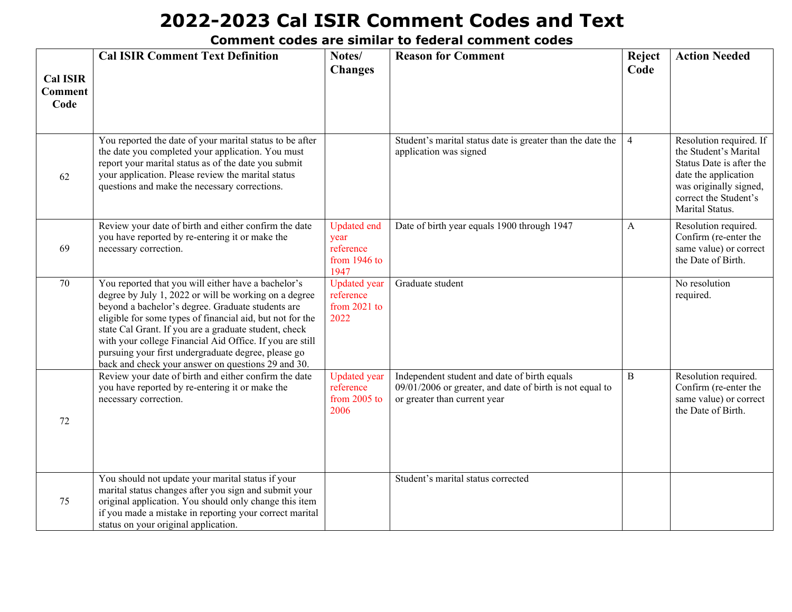| <b>Cal ISIR</b><br><b>Comment</b> | <b>Cal ISIR Comment Text Definition</b>                                                                                                                                                                                                                                                                                                                                                                                                                          | Notes/<br><b>Changes</b>                                        | <b>Reason for Comment</b>                                                                                                                | Reject<br>Code | <b>Action Needed</b>                                                                                                                                                       |
|-----------------------------------|------------------------------------------------------------------------------------------------------------------------------------------------------------------------------------------------------------------------------------------------------------------------------------------------------------------------------------------------------------------------------------------------------------------------------------------------------------------|-----------------------------------------------------------------|------------------------------------------------------------------------------------------------------------------------------------------|----------------|----------------------------------------------------------------------------------------------------------------------------------------------------------------------------|
| Code                              |                                                                                                                                                                                                                                                                                                                                                                                                                                                                  |                                                                 |                                                                                                                                          |                |                                                                                                                                                                            |
| 62                                | You reported the date of your marital status to be after<br>the date you completed your application. You must<br>report your marital status as of the date you submit<br>your application. Please review the marital status<br>questions and make the necessary corrections.                                                                                                                                                                                     |                                                                 | Student's marital status date is greater than the date the<br>application was signed                                                     | $\overline{4}$ | Resolution required. If<br>the Student's Marital<br>Status Date is after the<br>date the application<br>was originally signed,<br>correct the Student's<br>Marital Status. |
| 69                                | Review your date of birth and either confirm the date<br>you have reported by re-entering it or make the<br>necessary correction.                                                                                                                                                                                                                                                                                                                                | <b>Updated</b> end<br>year<br>reference<br>from 1946 to<br>1947 | Date of birth year equals 1900 through 1947                                                                                              | $\mathbf{A}$   | Resolution required.<br>Confirm (re-enter the<br>same value) or correct<br>the Date of Birth.                                                                              |
| 70                                | You reported that you will either have a bachelor's<br>degree by July 1, 2022 or will be working on a degree<br>beyond a bachelor's degree. Graduate students are<br>eligible for some types of financial aid, but not for the<br>state Cal Grant. If you are a graduate student, check<br>with your college Financial Aid Office. If you are still<br>pursuing your first undergraduate degree, please go<br>back and check your answer on questions 29 and 30. | <b>Updated</b> year<br>reference<br>from $2021$ to<br>2022      | Graduate student                                                                                                                         |                | No resolution<br>required.                                                                                                                                                 |
| 72                                | Review your date of birth and either confirm the date<br>you have reported by re-entering it or make the<br>necessary correction.                                                                                                                                                                                                                                                                                                                                | <b>Updated</b> year<br>reference<br>from 2005 to<br>2006        | Independent student and date of birth equals<br>09/01/2006 or greater, and date of birth is not equal to<br>or greater than current year | $\, {\bf B}$   | Resolution required.<br>Confirm (re-enter the<br>same value) or correct<br>the Date of Birth.                                                                              |
| 75                                | You should not update your marital status if your<br>marital status changes after you sign and submit your<br>original application. You should only change this item<br>if you made a mistake in reporting your correct marital<br>status on your original application.                                                                                                                                                                                          |                                                                 | Student's marital status corrected                                                                                                       |                |                                                                                                                                                                            |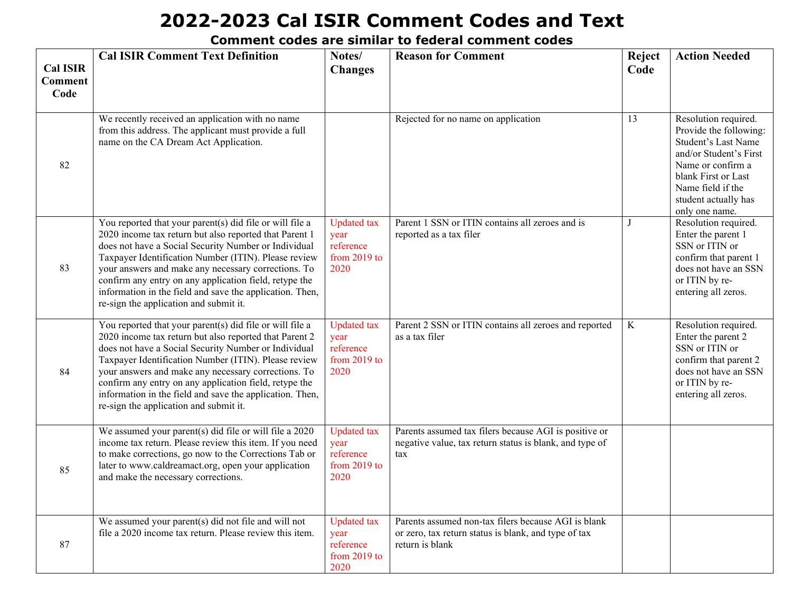| <b>Cal ISIR</b><br><b>Comment</b><br>Code | <b>Cal ISIR Comment Text Definition</b>                                                                                                                                                                                                                                                                                                                                                                                                                   | Notes/<br><b>Changes</b>                                          | <b>Reason for Comment</b>                                                                                                      | Reject<br>Code | <b>Action Needed</b>                                                                                                                                                                                              |
|-------------------------------------------|-----------------------------------------------------------------------------------------------------------------------------------------------------------------------------------------------------------------------------------------------------------------------------------------------------------------------------------------------------------------------------------------------------------------------------------------------------------|-------------------------------------------------------------------|--------------------------------------------------------------------------------------------------------------------------------|----------------|-------------------------------------------------------------------------------------------------------------------------------------------------------------------------------------------------------------------|
| 82                                        | We recently received an application with no name<br>from this address. The applicant must provide a full<br>name on the CA Dream Act Application.                                                                                                                                                                                                                                                                                                         |                                                                   | Rejected for no name on application                                                                                            | 13             | Resolution required.<br>Provide the following:<br><b>Student's Last Name</b><br>and/or Student's First<br>Name or confirm a<br>blank First or Last<br>Name field if the<br>student actually has<br>only one name. |
| 83                                        | You reported that your parent(s) did file or will file a<br>2020 income tax return but also reported that Parent 1<br>does not have a Social Security Number or Individual<br>Taxpayer Identification Number (ITIN). Please review<br>your answers and make any necessary corrections. To<br>confirm any entry on any application field, retype the<br>information in the field and save the application. Then,<br>re-sign the application and submit it. | <b>Updated</b> tax<br>year<br>reference<br>from $2019$ to<br>2020 | Parent 1 SSN or ITIN contains all zeroes and is<br>reported as a tax filer                                                     | J              | Resolution required.<br>Enter the parent 1<br>SSN or ITIN or<br>confirm that parent 1<br>does not have an SSN<br>or ITIN by re-<br>entering all zeros.                                                            |
| 84                                        | You reported that your parent(s) did file or will file a<br>2020 income tax return but also reported that Parent 2<br>does not have a Social Security Number or Individual<br>Taxpayer Identification Number (ITIN). Please review<br>your answers and make any necessary corrections. To<br>confirm any entry on any application field, retype the<br>information in the field and save the application. Then,<br>re-sign the application and submit it. | <b>Updated</b> tax<br>year<br>reference<br>from 2019 to<br>2020   | Parent 2 SSN or ITIN contains all zeroes and reported<br>as a tax filer                                                        | $\bf K$        | Resolution required.<br>Enter the parent 2<br>SSN or ITIN or<br>confirm that parent 2<br>does not have an SSN<br>or ITIN by re-<br>entering all zeros.                                                            |
| 85                                        | We assumed your parent(s) did file or will file a 2020<br>income tax return. Please review this item. If you need<br>to make corrections, go now to the Corrections Tab or<br>later to www.caldreamact.org, open your application<br>and make the necessary corrections.                                                                                                                                                                                  | <b>Updated</b> tax<br>year<br>reference<br>from 2019 to<br>2020   | Parents assumed tax filers because AGI is positive or<br>negative value, tax return status is blank, and type of<br>tax        |                |                                                                                                                                                                                                                   |
| 87                                        | We assumed your parent(s) did not file and will not<br>file a 2020 income tax return. Please review this item.                                                                                                                                                                                                                                                                                                                                            | <b>Updated</b> tax<br>year<br>reference<br>from $2019$ to<br>2020 | Parents assumed non-tax filers because AGI is blank<br>or zero, tax return status is blank, and type of tax<br>return is blank |                |                                                                                                                                                                                                                   |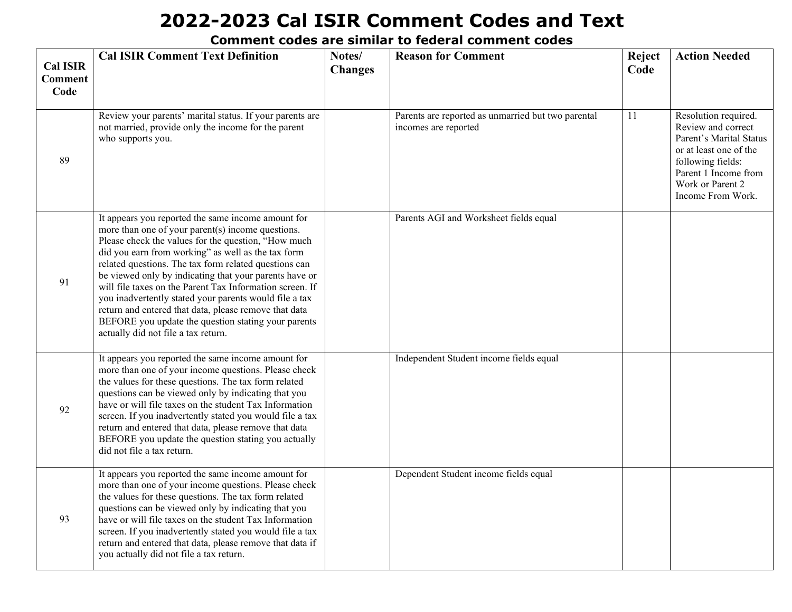| <b>Cal ISIR</b><br><b>Comment</b><br>Code | <b>Cal ISIR Comment Text Definition</b>                                                                                                                                                                                                                                                                                                                                                                                                                                                                                                                                                                              | Notes/<br><b>Changes</b> | <b>Reason for Comment</b>                                                  | Reject<br>Code | <b>Action Needed</b>                                                                                                                                                                  |
|-------------------------------------------|----------------------------------------------------------------------------------------------------------------------------------------------------------------------------------------------------------------------------------------------------------------------------------------------------------------------------------------------------------------------------------------------------------------------------------------------------------------------------------------------------------------------------------------------------------------------------------------------------------------------|--------------------------|----------------------------------------------------------------------------|----------------|---------------------------------------------------------------------------------------------------------------------------------------------------------------------------------------|
| 89                                        | Review your parents' marital status. If your parents are<br>not married, provide only the income for the parent<br>who supports you.                                                                                                                                                                                                                                                                                                                                                                                                                                                                                 |                          | Parents are reported as unmarried but two parental<br>incomes are reported | 11             | Resolution required.<br>Review and correct<br>Parent's Marital Status<br>or at least one of the<br>following fields:<br>Parent 1 Income from<br>Work or Parent 2<br>Income From Work. |
| 91                                        | It appears you reported the same income amount for<br>more than one of your parent(s) income questions.<br>Please check the values for the question, "How much<br>did you earn from working" as well as the tax form<br>related questions. The tax form related questions can<br>be viewed only by indicating that your parents have or<br>will file taxes on the Parent Tax Information screen. If<br>you inadvertently stated your parents would file a tax<br>return and entered that data, please remove that data<br>BEFORE you update the question stating your parents<br>actually did not file a tax return. |                          | Parents AGI and Worksheet fields equal                                     |                |                                                                                                                                                                                       |
| 92                                        | It appears you reported the same income amount for<br>more than one of your income questions. Please check<br>the values for these questions. The tax form related<br>questions can be viewed only by indicating that you<br>have or will file taxes on the student Tax Information<br>screen. If you inadvertently stated you would file a tax<br>return and entered that data, please remove that data<br>BEFORE you update the question stating you actually<br>did not file a tax return.                                                                                                                        |                          | Independent Student income fields equal                                    |                |                                                                                                                                                                                       |
| 93                                        | It appears you reported the same income amount for<br>more than one of your income questions. Please check<br>the values for these questions. The tax form related<br>questions can be viewed only by indicating that you<br>have or will file taxes on the student Tax Information<br>screen. If you inadvertently stated you would file a tax<br>return and entered that data, please remove that data if<br>you actually did not file a tax return.                                                                                                                                                               |                          | Dependent Student income fields equal                                      |                |                                                                                                                                                                                       |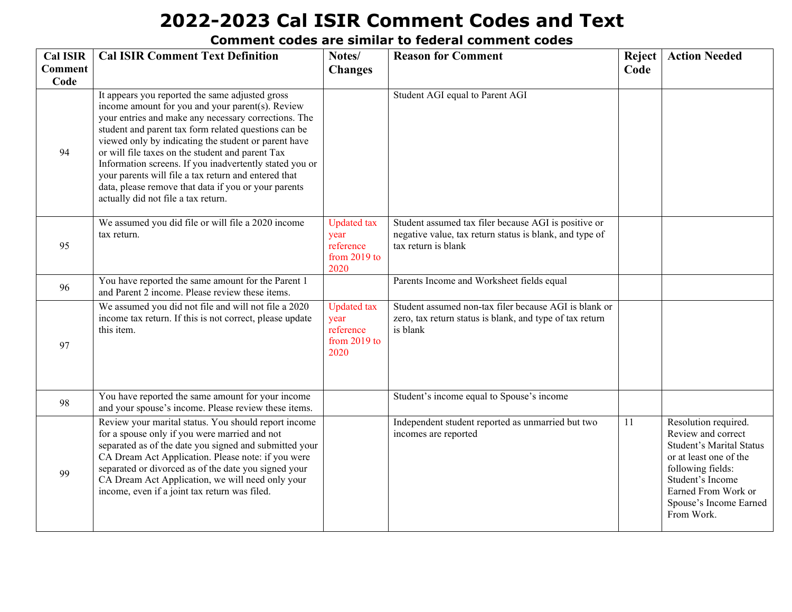| <b>Cal ISIR</b><br><b>Comment</b> | <b>Cal ISIR Comment Text Definition</b>                                                                                                                                                                                                                                                                                                                                                                                                                                                                                                           | Notes/<br><b>Changes</b>                                          | <b>Reason for Comment</b>                                                                                                              | <b>Reject</b><br>Code | <b>Action Needed</b>                                                                                                                                                                                            |
|-----------------------------------|---------------------------------------------------------------------------------------------------------------------------------------------------------------------------------------------------------------------------------------------------------------------------------------------------------------------------------------------------------------------------------------------------------------------------------------------------------------------------------------------------------------------------------------------------|-------------------------------------------------------------------|----------------------------------------------------------------------------------------------------------------------------------------|-----------------------|-----------------------------------------------------------------------------------------------------------------------------------------------------------------------------------------------------------------|
| Code                              |                                                                                                                                                                                                                                                                                                                                                                                                                                                                                                                                                   |                                                                   |                                                                                                                                        |                       |                                                                                                                                                                                                                 |
| 94                                | It appears you reported the same adjusted gross<br>income amount for you and your parent(s). Review<br>your entries and make any necessary corrections. The<br>student and parent tax form related questions can be<br>viewed only by indicating the student or parent have<br>or will file taxes on the student and parent Tax<br>Information screens. If you inadvertently stated you or<br>your parents will file a tax return and entered that<br>data, please remove that data if you or your parents<br>actually did not file a tax return. |                                                                   | Student AGI equal to Parent AGI                                                                                                        |                       |                                                                                                                                                                                                                 |
| 95                                | We assumed you did file or will file a 2020 income<br>tax return.                                                                                                                                                                                                                                                                                                                                                                                                                                                                                 | <b>Updated</b> tax<br>year<br>reference<br>from $2019$ to<br>2020 | Student assumed tax filer because AGI is positive or<br>negative value, tax return status is blank, and type of<br>tax return is blank |                       |                                                                                                                                                                                                                 |
| 96                                | You have reported the same amount for the Parent 1<br>and Parent 2 income. Please review these items.                                                                                                                                                                                                                                                                                                                                                                                                                                             |                                                                   | Parents Income and Worksheet fields equal                                                                                              |                       |                                                                                                                                                                                                                 |
| 97                                | We assumed you did not file and will not file a 2020<br>income tax return. If this is not correct, please update<br>this item.                                                                                                                                                                                                                                                                                                                                                                                                                    | <b>Updated</b> tax<br>year<br>reference<br>from $2019$ to<br>2020 | Student assumed non-tax filer because AGI is blank or<br>zero, tax return status is blank, and type of tax return<br>is blank          |                       |                                                                                                                                                                                                                 |
| 98                                | You have reported the same amount for your income<br>and your spouse's income. Please review these items.                                                                                                                                                                                                                                                                                                                                                                                                                                         |                                                                   | Student's income equal to Spouse's income                                                                                              |                       |                                                                                                                                                                                                                 |
| 99                                | Review your marital status. You should report income<br>for a spouse only if you were married and not<br>separated as of the date you signed and submitted your<br>CA Dream Act Application. Please note: if you were<br>separated or divorced as of the date you signed your<br>CA Dream Act Application, we will need only your<br>income, even if a joint tax return was filed.                                                                                                                                                                |                                                                   | Independent student reported as unmarried but two<br>incomes are reported                                                              | 11                    | Resolution required.<br>Review and correct<br><b>Student's Marital Status</b><br>or at least one of the<br>following fields:<br>Student's Income<br>Earned From Work or<br>Spouse's Income Earned<br>From Work. |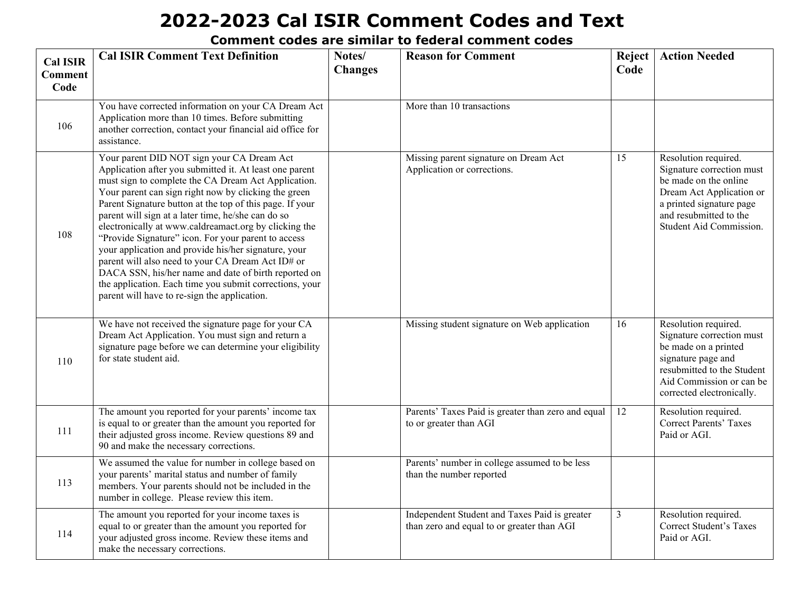| <b>Cal ISIR</b><br><b>Comment</b><br>Code | <b>Cal ISIR Comment Text Definition</b>                                                                                                                                                                                                                                                                                                                                                                                                                                                                                                                                                                                                                                                                                                | Notes/<br><b>Changes</b> | <b>Reason for Comment</b>                                                                   | <b>Reject</b><br>Code | <b>Action Needed</b>                                                                                                                                                                    |
|-------------------------------------------|----------------------------------------------------------------------------------------------------------------------------------------------------------------------------------------------------------------------------------------------------------------------------------------------------------------------------------------------------------------------------------------------------------------------------------------------------------------------------------------------------------------------------------------------------------------------------------------------------------------------------------------------------------------------------------------------------------------------------------------|--------------------------|---------------------------------------------------------------------------------------------|-----------------------|-----------------------------------------------------------------------------------------------------------------------------------------------------------------------------------------|
| 106                                       | You have corrected information on your CA Dream Act<br>Application more than 10 times. Before submitting<br>another correction, contact your financial aid office for<br>assistance.                                                                                                                                                                                                                                                                                                                                                                                                                                                                                                                                                   |                          | More than 10 transactions                                                                   |                       |                                                                                                                                                                                         |
| 108                                       | Your parent DID NOT sign your CA Dream Act<br>Application after you submitted it. At least one parent<br>must sign to complete the CA Dream Act Application.<br>Your parent can sign right now by clicking the green<br>Parent Signature button at the top of this page. If your<br>parent will sign at a later time, he/she can do so<br>electronically at www.caldreamact.org by clicking the<br>"Provide Signature" icon. For your parent to access<br>your application and provide his/her signature, your<br>parent will also need to your CA Dream Act ID# or<br>DACA SSN, his/her name and date of birth reported on<br>the application. Each time you submit corrections, your<br>parent will have to re-sign the application. |                          | Missing parent signature on Dream Act<br>Application or corrections.                        | 15                    | Resolution required.<br>Signature correction must<br>be made on the online<br>Dream Act Application or<br>a printed signature page<br>and resubmitted to the<br>Student Aid Commission. |
| 110                                       | We have not received the signature page for your CA<br>Dream Act Application. You must sign and return a<br>signature page before we can determine your eligibility<br>for state student aid.                                                                                                                                                                                                                                                                                                                                                                                                                                                                                                                                          |                          | Missing student signature on Web application                                                | 16                    | Resolution required.<br>Signature correction must<br>be made on a printed<br>signature page and<br>resubmitted to the Student<br>Aid Commission or can be<br>corrected electronically.  |
| 111                                       | The amount you reported for your parents' income tax<br>is equal to or greater than the amount you reported for<br>their adjusted gross income. Review questions 89 and<br>90 and make the necessary corrections.                                                                                                                                                                                                                                                                                                                                                                                                                                                                                                                      |                          | Parents' Taxes Paid is greater than zero and equal<br>to or greater than AGI                | 12                    | Resolution required.<br><b>Correct Parents' Taxes</b><br>Paid or AGI.                                                                                                                   |
| 113                                       | We assumed the value for number in college based on<br>your parents' marital status and number of family<br>members. Your parents should not be included in the<br>number in college. Please review this item.                                                                                                                                                                                                                                                                                                                                                                                                                                                                                                                         |                          | Parents' number in college assumed to be less<br>than the number reported                   |                       |                                                                                                                                                                                         |
| 114                                       | The amount you reported for your income taxes is<br>equal to or greater than the amount you reported for<br>your adjusted gross income. Review these items and<br>make the necessary corrections.                                                                                                                                                                                                                                                                                                                                                                                                                                                                                                                                      |                          | Independent Student and Taxes Paid is greater<br>than zero and equal to or greater than AGI | $\overline{3}$        | Resolution required.<br><b>Correct Student's Taxes</b><br>Paid or AGI.                                                                                                                  |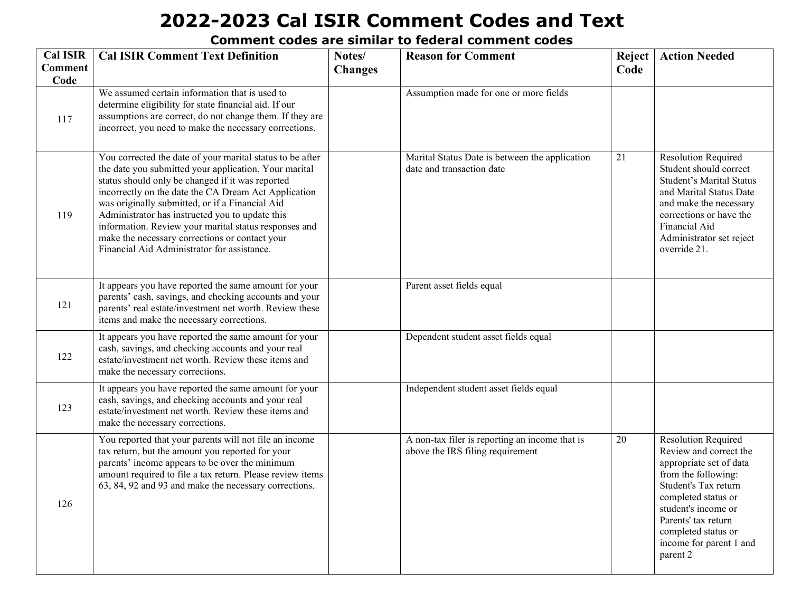| <b>Cal ISIR</b>        | <b>Cal ISIR Comment Text Definition</b>                                                                                                                                                                                                                                                                                                                                                                                                                                                        | Notes/         | <b>Reason for Comment</b>                                                          | Reject | <b>Action Needed</b>                                                                                                                                                                                                                                              |
|------------------------|------------------------------------------------------------------------------------------------------------------------------------------------------------------------------------------------------------------------------------------------------------------------------------------------------------------------------------------------------------------------------------------------------------------------------------------------------------------------------------------------|----------------|------------------------------------------------------------------------------------|--------|-------------------------------------------------------------------------------------------------------------------------------------------------------------------------------------------------------------------------------------------------------------------|
| <b>Comment</b><br>Code |                                                                                                                                                                                                                                                                                                                                                                                                                                                                                                | <b>Changes</b> |                                                                                    | Code   |                                                                                                                                                                                                                                                                   |
| 117                    | We assumed certain information that is used to<br>determine eligibility for state financial aid. If our<br>assumptions are correct, do not change them. If they are<br>incorrect, you need to make the necessary corrections.                                                                                                                                                                                                                                                                  |                | Assumption made for one or more fields                                             |        |                                                                                                                                                                                                                                                                   |
| 119                    | You corrected the date of your marital status to be after<br>the date you submitted your application. Your marital<br>status should only be changed if it was reported<br>incorrectly on the date the CA Dream Act Application<br>was originally submitted, or if a Financial Aid<br>Administrator has instructed you to update this<br>information. Review your marital status responses and<br>make the necessary corrections or contact your<br>Financial Aid Administrator for assistance. |                | Marital Status Date is between the application<br>date and transaction date        | 21     | <b>Resolution Required</b><br>Student should correct<br><b>Student's Marital Status</b><br>and Marital Status Date<br>and make the necessary<br>corrections or have the<br>Financial Aid<br>Administrator set reject<br>override 21.                              |
| 121                    | It appears you have reported the same amount for your<br>parents' cash, savings, and checking accounts and your<br>parents' real estate/investment net worth. Review these<br>items and make the necessary corrections.                                                                                                                                                                                                                                                                        |                | Parent asset fields equal                                                          |        |                                                                                                                                                                                                                                                                   |
| 122                    | It appears you have reported the same amount for your<br>cash, savings, and checking accounts and your real<br>estate/investment net worth. Review these items and<br>make the necessary corrections.                                                                                                                                                                                                                                                                                          |                | Dependent student asset fields equal                                               |        |                                                                                                                                                                                                                                                                   |
| 123                    | It appears you have reported the same amount for your<br>cash, savings, and checking accounts and your real<br>estate/investment net worth. Review these items and<br>make the necessary corrections.                                                                                                                                                                                                                                                                                          |                | Independent student asset fields equal                                             |        |                                                                                                                                                                                                                                                                   |
| 126                    | You reported that your parents will not file an income<br>tax return, but the amount you reported for your<br>parents' income appears to be over the minimum<br>amount required to file a tax return. Please review items<br>63, 84, 92 and 93 and make the necessary corrections.                                                                                                                                                                                                             |                | A non-tax filer is reporting an income that is<br>above the IRS filing requirement | 20     | <b>Resolution Required</b><br>Review and correct the<br>appropriate set of data<br>from the following:<br>Student's Tax return<br>completed status or<br>student's income or<br>Parents' tax return<br>completed status or<br>income for parent 1 and<br>parent 2 |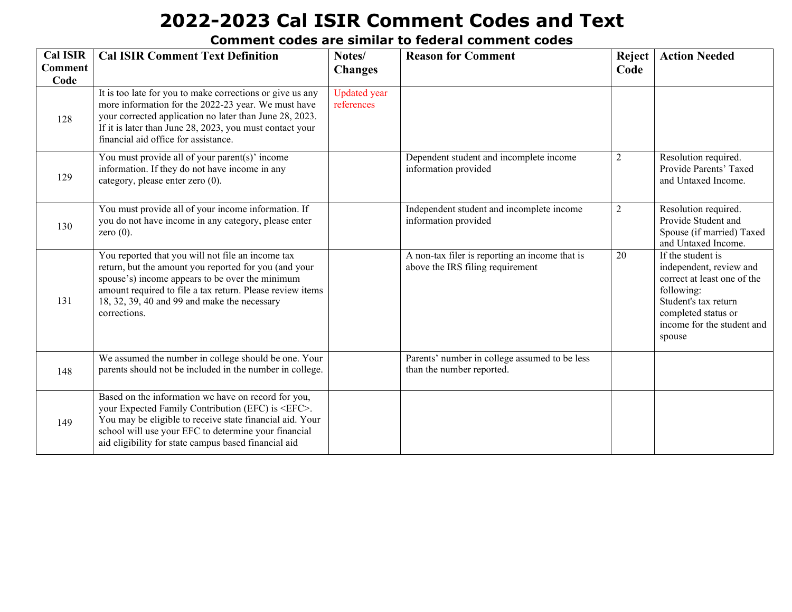| <b>Cal ISIR</b><br><b>Comment</b><br>Code | <b>Cal ISIR Comment Text Definition</b>                                                                                                                                                                                                                                                       | Notes/<br><b>Changes</b>          | <b>Reason for Comment</b>                                                          | <b>Reject</b><br>Code | <b>Action Needed</b>                                                                                                                                                             |
|-------------------------------------------|-----------------------------------------------------------------------------------------------------------------------------------------------------------------------------------------------------------------------------------------------------------------------------------------------|-----------------------------------|------------------------------------------------------------------------------------|-----------------------|----------------------------------------------------------------------------------------------------------------------------------------------------------------------------------|
| 128                                       | It is too late for you to make corrections or give us any<br>more information for the 2022-23 year. We must have<br>your corrected application no later than June 28, 2023.<br>If it is later than June 28, 2023, you must contact your<br>financial aid office for assistance.               | <b>Updated</b> year<br>references |                                                                                    |                       |                                                                                                                                                                                  |
| 129                                       | You must provide all of your parent(s)' income<br>information. If they do not have income in any<br>category, please enter zero (0).                                                                                                                                                          |                                   | Dependent student and incomplete income<br>information provided                    | $\overline{2}$        | Resolution required.<br>Provide Parents' Taxed<br>and Untaxed Income.                                                                                                            |
| 130                                       | You must provide all of your income information. If<br>you do not have income in any category, please enter<br>zero $(0)$ .                                                                                                                                                                   |                                   | Independent student and incomplete income<br>information provided                  | $\overline{2}$        | Resolution required.<br>Provide Student and<br>Spouse (if married) Taxed<br>and Untaxed Income.                                                                                  |
| 131                                       | You reported that you will not file an income tax<br>return, but the amount you reported for you (and your<br>spouse's) income appears to be over the minimum<br>amount required to file a tax return. Please review items<br>18, 32, 39, 40 and 99 and make the necessary<br>corrections.    |                                   | A non-tax filer is reporting an income that is<br>above the IRS filing requirement | 20                    | If the student is<br>independent, review and<br>correct at least one of the<br>following:<br>Student's tax return<br>completed status or<br>income for the student and<br>spouse |
| 148                                       | We assumed the number in college should be one. Your<br>parents should not be included in the number in college.                                                                                                                                                                              |                                   | Parents' number in college assumed to be less<br>than the number reported.         |                       |                                                                                                                                                                                  |
| 149                                       | Based on the information we have on record for you,<br>your Expected Family Contribution (EFC) is <efc>.<br/>You may be eligible to receive state financial aid. Your<br/>school will use your EFC to determine your financial<br/>aid eligibility for state campus based financial aid</efc> |                                   |                                                                                    |                       |                                                                                                                                                                                  |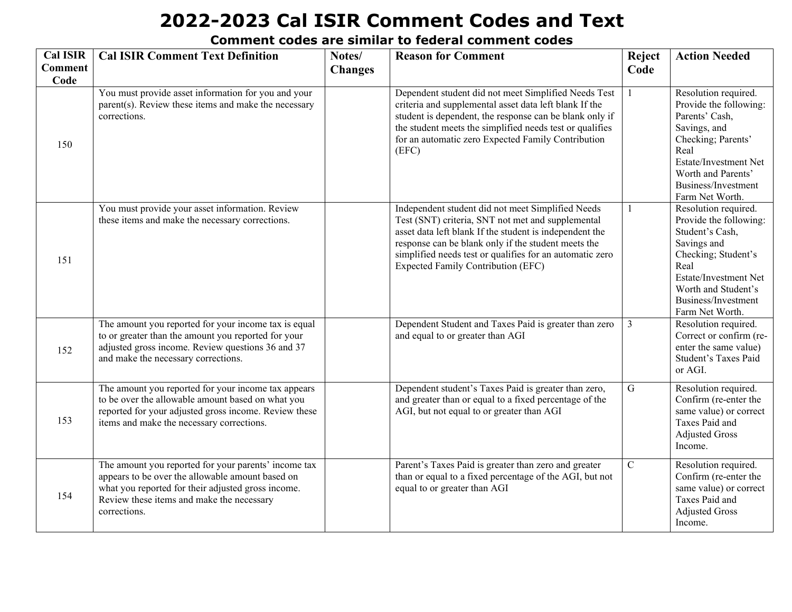| <b>Cal ISIR</b> | <b>Cal ISIR Comment Text Definition</b>                                                                                                                                                                                     | Notes/         | <b>Reason for Comment</b>                                                                                                                                                                                                                                                                                                         | Reject         | <b>Action Needed</b>                                                                                                                                                                                      |
|-----------------|-----------------------------------------------------------------------------------------------------------------------------------------------------------------------------------------------------------------------------|----------------|-----------------------------------------------------------------------------------------------------------------------------------------------------------------------------------------------------------------------------------------------------------------------------------------------------------------------------------|----------------|-----------------------------------------------------------------------------------------------------------------------------------------------------------------------------------------------------------|
| <b>Comment</b>  |                                                                                                                                                                                                                             | <b>Changes</b> |                                                                                                                                                                                                                                                                                                                                   | Code           |                                                                                                                                                                                                           |
| Code<br>150     | You must provide asset information for you and your<br>parent(s). Review these items and make the necessary<br>corrections.                                                                                                 |                | Dependent student did not meet Simplified Needs Test<br>criteria and supplemental asset data left blank If the<br>student is dependent, the response can be blank only if<br>the student meets the simplified needs test or qualifies<br>for an automatic zero Expected Family Contribution<br>(EFC)                              | $\mathbf{1}$   | Resolution required.<br>Provide the following:<br>Parents' Cash,<br>Savings, and<br>Checking; Parents'<br>Real<br>Estate/Investment Net<br>Worth and Parents'<br>Business/Investment<br>Farm Net Worth.   |
| 151             | You must provide your asset information. Review<br>these items and make the necessary corrections.                                                                                                                          |                | Independent student did not meet Simplified Needs<br>Test (SNT) criteria, SNT not met and supplemental<br>asset data left blank If the student is independent the<br>response can be blank only if the student meets the<br>simplified needs test or qualifies for an automatic zero<br><b>Expected Family Contribution (EFC)</b> | $\mathbf{1}$   | Resolution required.<br>Provide the following:<br>Student's Cash,<br>Savings and<br>Checking; Student's<br>Real<br>Estate/Investment Net<br>Worth and Student's<br>Business/Investment<br>Farm Net Worth. |
| 152             | The amount you reported for your income tax is equal<br>to or greater than the amount you reported for your<br>adjusted gross income. Review questions 36 and 37<br>and make the necessary corrections.                     |                | Dependent Student and Taxes Paid is greater than zero<br>and equal to or greater than AGI                                                                                                                                                                                                                                         | $\mathfrak{Z}$ | Resolution required.<br>Correct or confirm (re-<br>enter the same value)<br>Student's Taxes Paid<br>or AGI.                                                                                               |
| 153             | The amount you reported for your income tax appears<br>to be over the allowable amount based on what you<br>reported for your adjusted gross income. Review these<br>items and make the necessary corrections.              |                | Dependent student's Taxes Paid is greater than zero,<br>and greater than or equal to a fixed percentage of the<br>AGI, but not equal to or greater than AGI                                                                                                                                                                       | $\mathbf G$    | Resolution required.<br>Confirm (re-enter the<br>same value) or correct<br>Taxes Paid and<br><b>Adjusted Gross</b><br>Income.                                                                             |
| 154             | The amount you reported for your parents' income tax<br>appears to be over the allowable amount based on<br>what you reported for their adjusted gross income.<br>Review these items and make the necessary<br>corrections. |                | Parent's Taxes Paid is greater than zero and greater<br>than or equal to a fixed percentage of the AGI, but not<br>equal to or greater than AGI                                                                                                                                                                                   | $\mathbf C$    | Resolution required.<br>Confirm (re-enter the<br>same value) or correct<br>Taxes Paid and<br><b>Adjusted Gross</b><br>Income.                                                                             |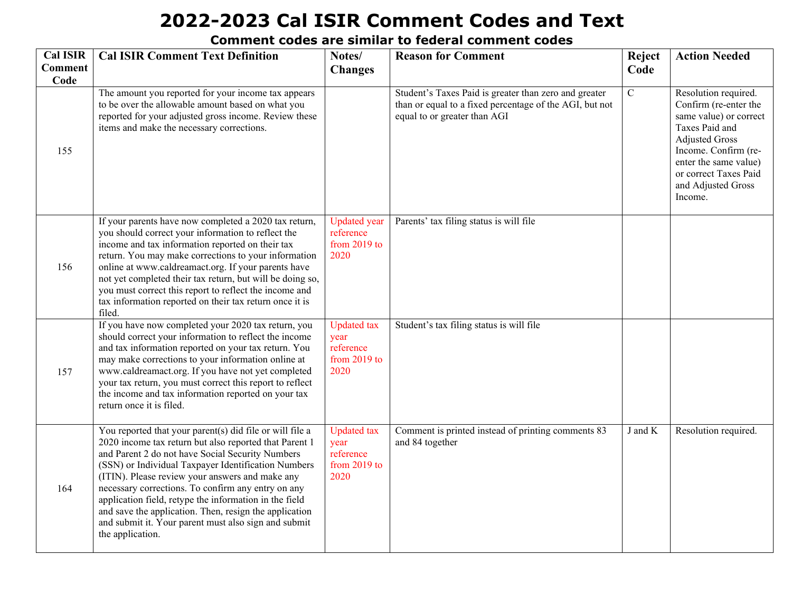| <b>Cal ISIR</b>        | <b>Cal ISIR Comment Text Definition</b>                                                                                                                                                                                                                                                                                                                                                                                                                                                                                                | Notes/                                                          | <b>Reason for Comment</b>                                                                                                                        | Reject              | <b>Action Needed</b>                                                                                                                                                                                                          |
|------------------------|----------------------------------------------------------------------------------------------------------------------------------------------------------------------------------------------------------------------------------------------------------------------------------------------------------------------------------------------------------------------------------------------------------------------------------------------------------------------------------------------------------------------------------------|-----------------------------------------------------------------|--------------------------------------------------------------------------------------------------------------------------------------------------|---------------------|-------------------------------------------------------------------------------------------------------------------------------------------------------------------------------------------------------------------------------|
| <b>Comment</b><br>Code |                                                                                                                                                                                                                                                                                                                                                                                                                                                                                                                                        | <b>Changes</b>                                                  |                                                                                                                                                  | Code                |                                                                                                                                                                                                                               |
| 155                    | The amount you reported for your income tax appears<br>to be over the allowable amount based on what you<br>reported for your adjusted gross income. Review these<br>items and make the necessary corrections.                                                                                                                                                                                                                                                                                                                         |                                                                 | Student's Taxes Paid is greater than zero and greater<br>than or equal to a fixed percentage of the AGI, but not<br>equal to or greater than AGI | $\overline{C}$      | Resolution required.<br>Confirm (re-enter the<br>same value) or correct<br>Taxes Paid and<br><b>Adjusted Gross</b><br>Income. Confirm (re-<br>enter the same value)<br>or correct Taxes Paid<br>and Adjusted Gross<br>Income. |
| 156                    | If your parents have now completed a 2020 tax return,<br>you should correct your information to reflect the<br>income and tax information reported on their tax<br>return. You may make corrections to your information<br>online at www.caldreamact.org. If your parents have<br>not yet completed their tax return, but will be doing so,<br>you must correct this report to reflect the income and<br>tax information reported on their tax return once it is<br>filed.                                                             | <b>Updated</b> year<br>reference<br>from $2019$ to<br>2020      | Parents' tax filing status is will file                                                                                                          |                     |                                                                                                                                                                                                                               |
| 157                    | If you have now completed your 2020 tax return, you<br>should correct your information to reflect the income<br>and tax information reported on your tax return. You<br>may make corrections to your information online at<br>www.caldreamact.org. If you have not yet completed<br>your tax return, you must correct this report to reflect<br>the income and tax information reported on your tax<br>return once it is filed.                                                                                                        | <b>Updated</b> tax<br>year<br>reference<br>from 2019 to<br>2020 | Student's tax filing status is will file                                                                                                         |                     |                                                                                                                                                                                                                               |
| 164                    | You reported that your parent(s) did file or will file a<br>2020 income tax return but also reported that Parent 1<br>and Parent 2 do not have Social Security Numbers<br>(SSN) or Individual Taxpayer Identification Numbers<br>(ITIN). Please review your answers and make any<br>necessary corrections. To confirm any entry on any<br>application field, retype the information in the field<br>and save the application. Then, resign the application<br>and submit it. Your parent must also sign and submit<br>the application. | <b>Updated</b> tax<br>year<br>reference<br>from 2019 to<br>2020 | Comment is printed instead of printing comments 83<br>and 84 together                                                                            | $\rm J$ and $\rm K$ | Resolution required.                                                                                                                                                                                                          |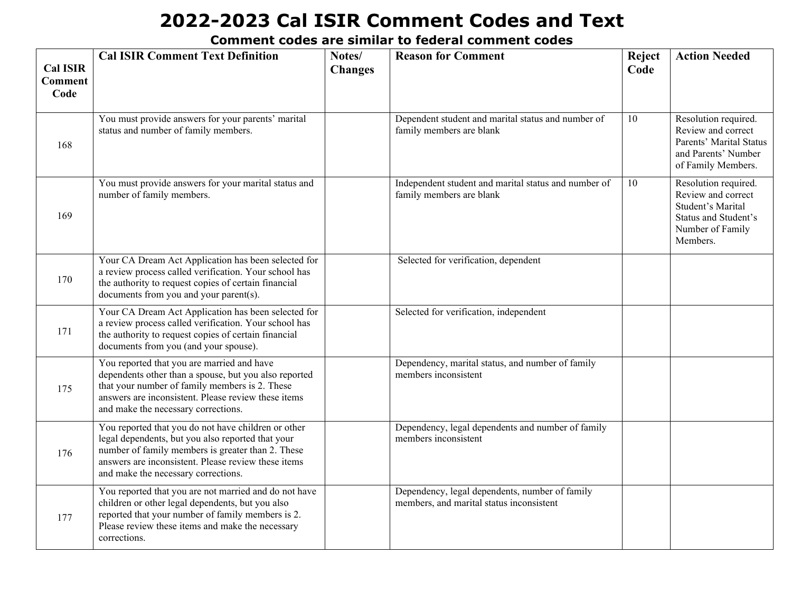| <b>Cal ISIR</b><br><b>Comment</b><br>Code | <b>Cal ISIR Comment Text Definition</b>                                                                                                                                                                                                                     | Notes/<br><b>Changes</b> | <b>Reason for Comment</b>                                                                  | Reject<br>Code | <b>Action Needed</b>                                                                                                    |
|-------------------------------------------|-------------------------------------------------------------------------------------------------------------------------------------------------------------------------------------------------------------------------------------------------------------|--------------------------|--------------------------------------------------------------------------------------------|----------------|-------------------------------------------------------------------------------------------------------------------------|
| 168                                       | You must provide answers for your parents' marital<br>status and number of family members.                                                                                                                                                                  |                          | Dependent student and marital status and number of<br>family members are blank             | 10             | Resolution required.<br>Review and correct<br>Parents' Marital Status<br>and Parents' Number<br>of Family Members.      |
| 169                                       | You must provide answers for your marital status and<br>number of family members.                                                                                                                                                                           |                          | Independent student and marital status and number of<br>family members are blank           | 10             | Resolution required.<br>Review and correct<br>Student's Marital<br>Status and Student's<br>Number of Family<br>Members. |
| 170                                       | Your CA Dream Act Application has been selected for<br>a review process called verification. Your school has<br>the authority to request copies of certain financial<br>documents from you and your parent(s).                                              |                          | Selected for verification, dependent                                                       |                |                                                                                                                         |
| 171                                       | Your CA Dream Act Application has been selected for<br>a review process called verification. Your school has<br>the authority to request copies of certain financial<br>documents from you (and your spouse).                                               |                          | Selected for verification, independent                                                     |                |                                                                                                                         |
| 175                                       | You reported that you are married and have<br>dependents other than a spouse, but you also reported<br>that your number of family members is 2. These<br>answers are inconsistent. Please review these items<br>and make the necessary corrections.         |                          | Dependency, marital status, and number of family<br>members inconsistent                   |                |                                                                                                                         |
| 176                                       | You reported that you do not have children or other<br>legal dependents, but you also reported that your<br>number of family members is greater than 2. These<br>answers are inconsistent. Please review these items<br>and make the necessary corrections. |                          | Dependency, legal dependents and number of family<br>members inconsistent                  |                |                                                                                                                         |
| 177                                       | You reported that you are not married and do not have<br>children or other legal dependents, but you also<br>reported that your number of family members is 2.<br>Please review these items and make the necessary<br>corrections.                          |                          | Dependency, legal dependents, number of family<br>members, and marital status inconsistent |                |                                                                                                                         |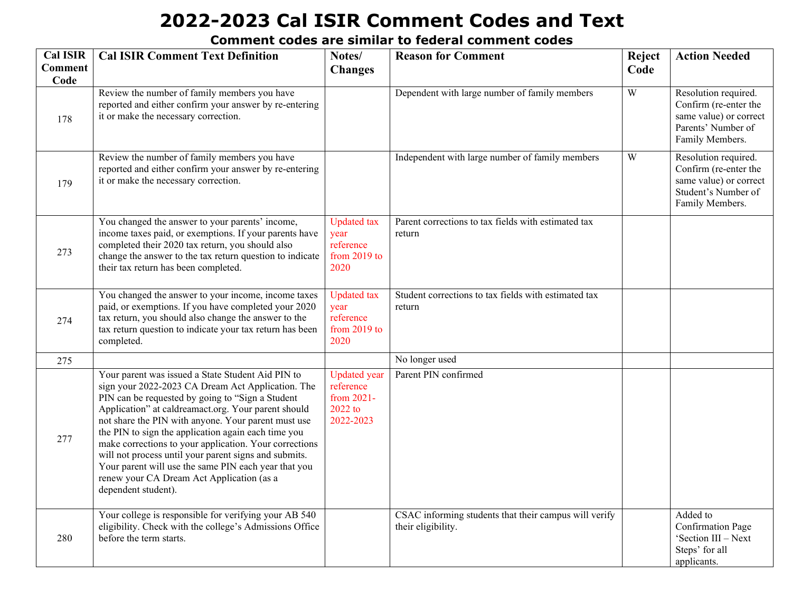| <b>Cal ISIR</b>        | <b>Cal ISIR Comment Text Definition</b>                                                                                                                                                                                                                                                                                                                                                                                                                                                                                                                                        | Notes/                                                                 | <b>Reason for Comment</b>                                                   | Reject | <b>Action Needed</b>                                                                                              |
|------------------------|--------------------------------------------------------------------------------------------------------------------------------------------------------------------------------------------------------------------------------------------------------------------------------------------------------------------------------------------------------------------------------------------------------------------------------------------------------------------------------------------------------------------------------------------------------------------------------|------------------------------------------------------------------------|-----------------------------------------------------------------------------|--------|-------------------------------------------------------------------------------------------------------------------|
| <b>Comment</b><br>Code |                                                                                                                                                                                                                                                                                                                                                                                                                                                                                                                                                                                | <b>Changes</b>                                                         |                                                                             | Code   |                                                                                                                   |
| 178                    | Review the number of family members you have<br>reported and either confirm your answer by re-entering<br>it or make the necessary correction.                                                                                                                                                                                                                                                                                                                                                                                                                                 |                                                                        | Dependent with large number of family members                               | W      | Resolution required.<br>Confirm (re-enter the<br>same value) or correct<br>Parents' Number of<br>Family Members.  |
| 179                    | Review the number of family members you have<br>reported and either confirm your answer by re-entering<br>it or make the necessary correction.                                                                                                                                                                                                                                                                                                                                                                                                                                 |                                                                        | Independent with large number of family members                             | W      | Resolution required.<br>Confirm (re-enter the<br>same value) or correct<br>Student's Number of<br>Family Members. |
| 273                    | You changed the answer to your parents' income,<br>income taxes paid, or exemptions. If your parents have<br>completed their 2020 tax return, you should also<br>change the answer to the tax return question to indicate<br>their tax return has been completed.                                                                                                                                                                                                                                                                                                              | <b>Updated</b> tax<br>year<br>reference<br>from 2019 to<br>2020        | Parent corrections to tax fields with estimated tax<br>return               |        |                                                                                                                   |
| 274                    | You changed the answer to your income, income taxes<br>paid, or exemptions. If you have completed your 2020<br>tax return, you should also change the answer to the<br>tax return question to indicate your tax return has been<br>completed.                                                                                                                                                                                                                                                                                                                                  | <b>Updated</b> tax<br>year<br>reference<br>from 2019 to<br>2020        | Student corrections to tax fields with estimated tax<br>return              |        |                                                                                                                   |
| 275                    |                                                                                                                                                                                                                                                                                                                                                                                                                                                                                                                                                                                |                                                                        | No longer used                                                              |        |                                                                                                                   |
| 277                    | Your parent was issued a State Student Aid PIN to<br>sign your 2022-2023 CA Dream Act Application. The<br>PIN can be requested by going to "Sign a Student<br>Application" at caldreamact.org. Your parent should<br>not share the PIN with anyone. Your parent must use<br>the PIN to sign the application again each time you<br>make corrections to your application. Your corrections<br>will not process until your parent signs and submits.<br>Your parent will use the same PIN each year that you<br>renew your CA Dream Act Application (as a<br>dependent student). | <b>Updated</b> year<br>reference<br>from 2021-<br>2022 to<br>2022-2023 | Parent PIN confirmed                                                        |        |                                                                                                                   |
| 280                    | Your college is responsible for verifying your AB 540<br>eligibility. Check with the college's Admissions Office<br>before the term starts.                                                                                                                                                                                                                                                                                                                                                                                                                                    |                                                                        | CSAC informing students that their campus will verify<br>their eligibility. |        | Added to<br><b>Confirmation Page</b><br>'Section III - Next<br>Steps' for all<br>applicants.                      |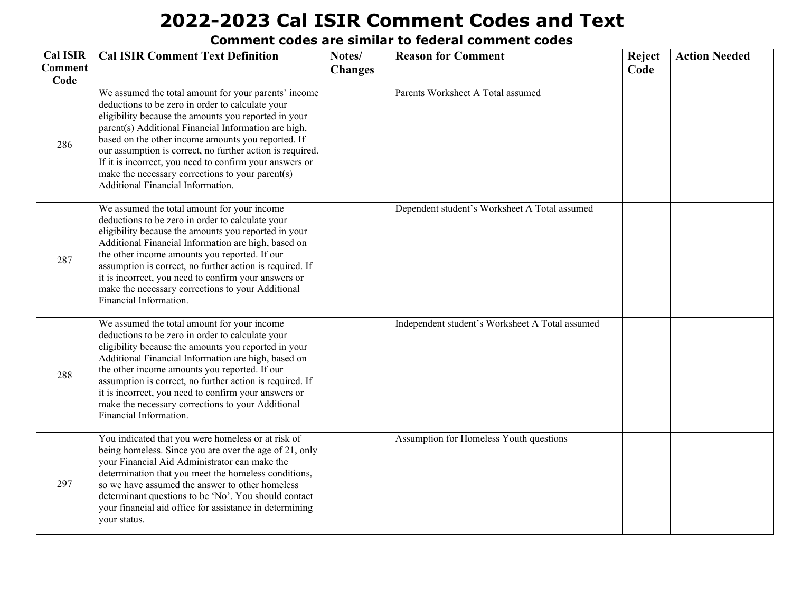| <b>Cal ISIR</b>        | <b>Cal ISIR Comment Text Definition</b>                                                                                                                                                                                                                                                                                                                                                                                                                                                         | Notes/         | <b>Reason for Comment</b>                       |      | <b>Action Needed</b> |
|------------------------|-------------------------------------------------------------------------------------------------------------------------------------------------------------------------------------------------------------------------------------------------------------------------------------------------------------------------------------------------------------------------------------------------------------------------------------------------------------------------------------------------|----------------|-------------------------------------------------|------|----------------------|
| <b>Comment</b><br>Code |                                                                                                                                                                                                                                                                                                                                                                                                                                                                                                 | <b>Changes</b> |                                                 | Code |                      |
| 286                    | We assumed the total amount for your parents' income<br>deductions to be zero in order to calculate your<br>eligibility because the amounts you reported in your<br>parent(s) Additional Financial Information are high,<br>based on the other income amounts you reported. If<br>our assumption is correct, no further action is required.<br>If it is incorrect, you need to confirm your answers or<br>make the necessary corrections to your parent(s)<br>Additional Financial Information. |                | Parents Worksheet A Total assumed               |      |                      |
| 287                    | We assumed the total amount for your income<br>deductions to be zero in order to calculate your<br>eligibility because the amounts you reported in your<br>Additional Financial Information are high, based on<br>the other income amounts you reported. If our<br>assumption is correct, no further action is required. If<br>it is incorrect, you need to confirm your answers or<br>make the necessary corrections to your Additional<br>Financial Information.                              |                | Dependent student's Worksheet A Total assumed   |      |                      |
| 288                    | We assumed the total amount for your income<br>deductions to be zero in order to calculate your<br>eligibility because the amounts you reported in your<br>Additional Financial Information are high, based on<br>the other income amounts you reported. If our<br>assumption is correct, no further action is required. If<br>it is incorrect, you need to confirm your answers or<br>make the necessary corrections to your Additional<br>Financial Information.                              |                | Independent student's Worksheet A Total assumed |      |                      |
| 297                    | You indicated that you were homeless or at risk of<br>being homeless. Since you are over the age of 21, only<br>your Financial Aid Administrator can make the<br>determination that you meet the homeless conditions,<br>so we have assumed the answer to other homeless<br>determinant questions to be 'No'. You should contact<br>your financial aid office for assistance in determining<br>your status.                                                                                     |                | Assumption for Homeless Youth questions         |      |                      |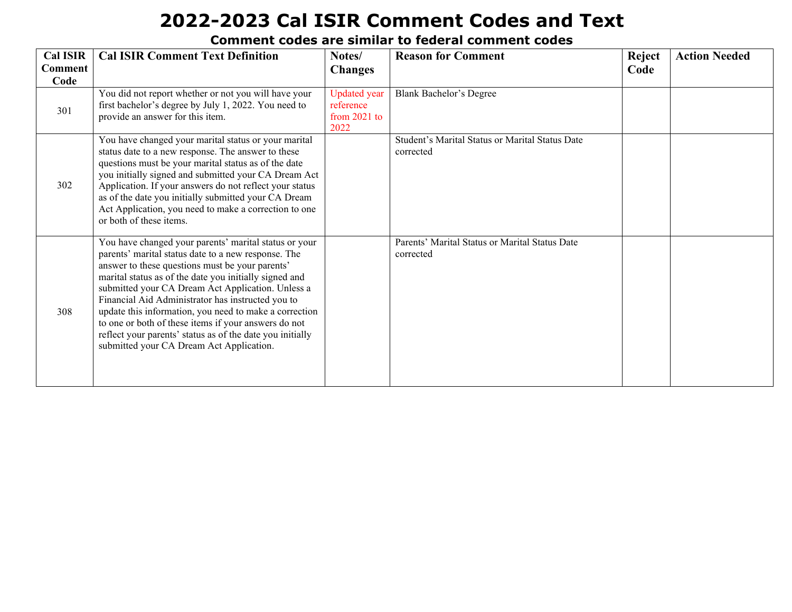| <b>Cal ISIR</b><br><b>Comment</b><br>Code | <b>Cal ISIR Comment Text Definition</b>                                                                                                                                                                                                                                                                                                                                                                                                                                                                                                                        | Notes/<br><b>Changes</b>                                   | <b>Reason for Comment</b>                                    | Reject<br>Code | <b>Action Needed</b> |
|-------------------------------------------|----------------------------------------------------------------------------------------------------------------------------------------------------------------------------------------------------------------------------------------------------------------------------------------------------------------------------------------------------------------------------------------------------------------------------------------------------------------------------------------------------------------------------------------------------------------|------------------------------------------------------------|--------------------------------------------------------------|----------------|----------------------|
| 301                                       | You did not report whether or not you will have your<br>first bachelor's degree by July 1, 2022. You need to<br>provide an answer for this item.                                                                                                                                                                                                                                                                                                                                                                                                               | <b>Updated</b> year<br>reference<br>from $2021$ to<br>2022 | Blank Bachelor's Degree                                      |                |                      |
| 302                                       | You have changed your marital status or your marital<br>status date to a new response. The answer to these<br>questions must be your marital status as of the date<br>you initially signed and submitted your CA Dream Act<br>Application. If your answers do not reflect your status<br>as of the date you initially submitted your CA Dream<br>Act Application, you need to make a correction to one<br>or both of these items.                                                                                                                              |                                                            | Student's Marital Status or Marital Status Date<br>corrected |                |                      |
| 308                                       | You have changed your parents' marital status or your<br>parents' marital status date to a new response. The<br>answer to these questions must be your parents'<br>marital status as of the date you initially signed and<br>submitted your CA Dream Act Application. Unless a<br>Financial Aid Administrator has instructed you to<br>update this information, you need to make a correction<br>to one or both of these items if your answers do not<br>reflect your parents' status as of the date you initially<br>submitted your CA Dream Act Application. |                                                            | Parents' Marital Status or Marital Status Date<br>corrected  |                |                      |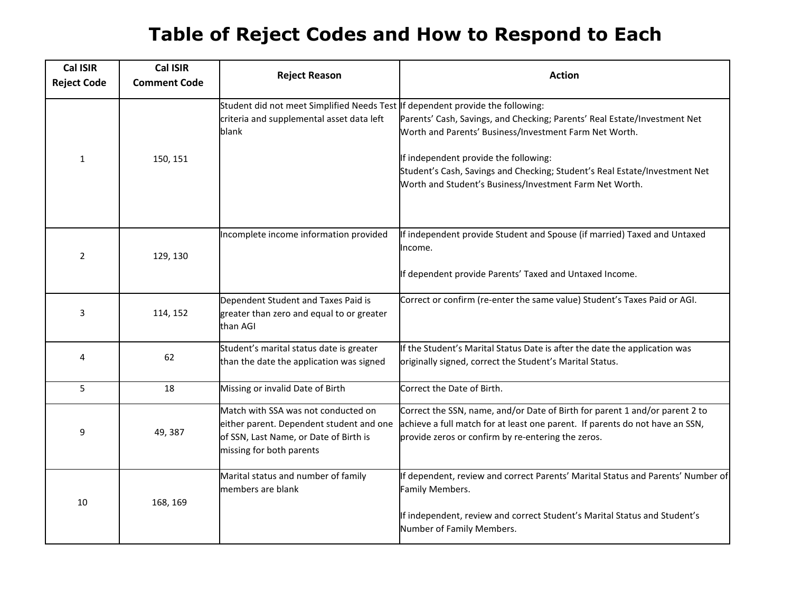### **Table of Reject Codes and How to Respond to Each**

| <b>Cal ISIR</b><br><b>Reject Code</b> | <b>Cal ISIR</b><br><b>Comment Code</b> | <b>Reject Reason</b>                                                                                                                                  | <b>Action</b>                                                                                                                                                                                                                                                                                                         |
|---------------------------------------|----------------------------------------|-------------------------------------------------------------------------------------------------------------------------------------------------------|-----------------------------------------------------------------------------------------------------------------------------------------------------------------------------------------------------------------------------------------------------------------------------------------------------------------------|
| $\mathbf{1}$                          | 150, 151                               | Student did not meet Simplified Needs Test If dependent provide the following:<br>criteria and supplemental asset data left<br>blank                  | Parents' Cash, Savings, and Checking; Parents' Real Estate/Investment Net<br>Worth and Parents' Business/Investment Farm Net Worth.<br>If independent provide the following:<br>Student's Cash, Savings and Checking; Student's Real Estate/Investment Net<br>Worth and Student's Business/Investment Farm Net Worth. |
| 2                                     | 129, 130                               | Incomplete income information provided                                                                                                                | If independent provide Student and Spouse (if married) Taxed and Untaxed<br>Income.<br>If dependent provide Parents' Taxed and Untaxed Income.                                                                                                                                                                        |
| 3                                     | 114, 152                               | Dependent Student and Taxes Paid is<br>greater than zero and equal to or greater<br>than AGI                                                          | Correct or confirm (re-enter the same value) Student's Taxes Paid or AGI.                                                                                                                                                                                                                                             |
| 4                                     | 62                                     | Student's marital status date is greater<br>than the date the application was signed                                                                  | If the Student's Marital Status Date is after the date the application was<br>originally signed, correct the Student's Marital Status.                                                                                                                                                                                |
| 5                                     | 18                                     | Missing or invalid Date of Birth                                                                                                                      | Correct the Date of Birth.                                                                                                                                                                                                                                                                                            |
| 9                                     | 49, 387                                | Match with SSA was not conducted on<br>either parent. Dependent student and one<br>of SSN, Last Name, or Date of Birth is<br>missing for both parents | Correct the SSN, name, and/or Date of Birth for parent 1 and/or parent 2 to<br>achieve a full match for at least one parent. If parents do not have an SSN,<br>provide zeros or confirm by re-entering the zeros.                                                                                                     |
| 10                                    | 168, 169                               | Marital status and number of family<br>members are blank                                                                                              | If dependent, review and correct Parents' Marital Status and Parents' Number of<br>Family Members.<br>If independent, review and correct Student's Marital Status and Student's<br>Number of Family Members.                                                                                                          |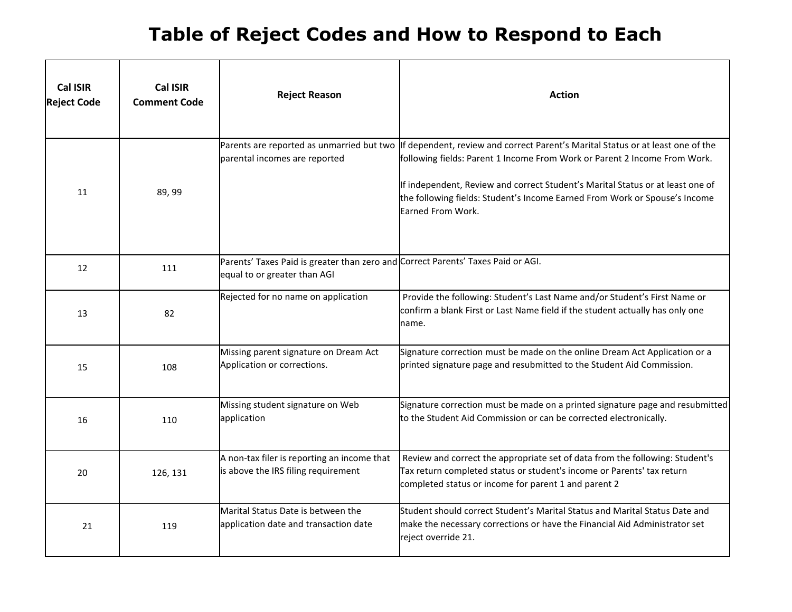### **Table of Reject Codes and How to Respond to Each**

| <b>Cal ISIR</b><br><b>Reject Code</b> | <b>Cal ISIR</b><br><b>Comment Code</b> | <b>Reject Reason</b>                                                                                             | <b>Action</b>                                                                                                                                                                                                                                                                                                                                     |
|---------------------------------------|----------------------------------------|------------------------------------------------------------------------------------------------------------------|---------------------------------------------------------------------------------------------------------------------------------------------------------------------------------------------------------------------------------------------------------------------------------------------------------------------------------------------------|
| 11                                    | 89, 99                                 | Parents are reported as unmarried but two<br>parental incomes are reported                                       | If dependent, review and correct Parent's Marital Status or at least one of the<br>following fields: Parent 1 Income From Work or Parent 2 Income From Work.<br>If independent, Review and correct Student's Marital Status or at least one of<br>the following fields: Student's Income Earned From Work or Spouse's Income<br>Earned From Work. |
| 12                                    | 111                                    | Parents' Taxes Paid is greater than zero and Correct Parents' Taxes Paid or AGI.<br>equal to or greater than AGI |                                                                                                                                                                                                                                                                                                                                                   |
| 13                                    | 82                                     | Rejected for no name on application                                                                              | Provide the following: Student's Last Name and/or Student's First Name or<br>confirm a blank First or Last Name field if the student actually has only one<br>name.                                                                                                                                                                               |
| 15                                    | 108                                    | Missing parent signature on Dream Act<br>Application or corrections.                                             | Signature correction must be made on the online Dream Act Application or a<br>printed signature page and resubmitted to the Student Aid Commission.                                                                                                                                                                                               |
| 16                                    | 110                                    | Missing student signature on Web<br>application                                                                  | Signature correction must be made on a printed signature page and resubmitted<br>to the Student Aid Commission or can be corrected electronically.                                                                                                                                                                                                |
| 20                                    | 126, 131                               | A non-tax filer is reporting an income that<br>is above the IRS filing requirement                               | Review and correct the appropriate set of data from the following: Student's<br>Tax return completed status or student's income or Parents' tax return<br>completed status or income for parent 1 and parent 2                                                                                                                                    |
| 21                                    | 119                                    | Marital Status Date is between the<br>application date and transaction date                                      | Student should correct Student's Marital Status and Marital Status Date and<br>make the necessary corrections or have the Financial Aid Administrator set<br>reject override 21.                                                                                                                                                                  |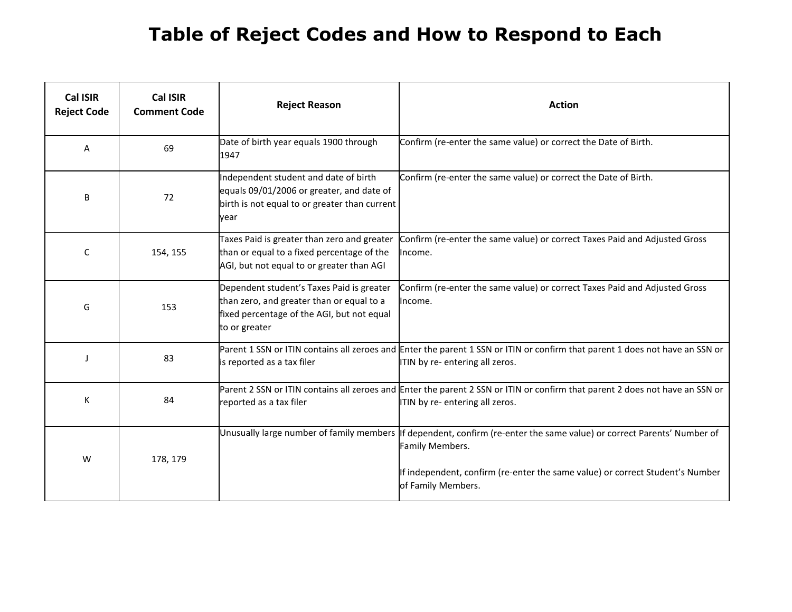### **Table of Reject Codes and How to Respond to Each**

| <b>Cal ISIR</b><br><b>Reject Code</b> | <b>Cal ISIR</b><br><b>Comment Code</b> | <b>Reject Reason</b>                                                                                                                                  | <b>Action</b>                                                                                                                                                                                                                                    |
|---------------------------------------|----------------------------------------|-------------------------------------------------------------------------------------------------------------------------------------------------------|--------------------------------------------------------------------------------------------------------------------------------------------------------------------------------------------------------------------------------------------------|
| Α                                     | 69                                     | Date of birth year equals 1900 through<br>1947                                                                                                        | Confirm (re-enter the same value) or correct the Date of Birth.                                                                                                                                                                                  |
| B                                     | 72                                     | Independent student and date of birth<br>equals 09/01/2006 or greater, and date of<br>birth is not equal to or greater than current<br>vear           | Confirm (re-enter the same value) or correct the Date of Birth.                                                                                                                                                                                  |
| C                                     | 154, 155                               | Taxes Paid is greater than zero and greater<br>than or equal to a fixed percentage of the<br>AGI, but not equal to or greater than AGI                | Confirm (re-enter the same value) or correct Taxes Paid and Adjusted Gross<br>Income.                                                                                                                                                            |
| G                                     | 153                                    | Dependent student's Taxes Paid is greater<br>than zero, and greater than or equal to a<br>fixed percentage of the AGI, but not equal<br>to or greater | Confirm (re-enter the same value) or correct Taxes Paid and Adjusted Gross<br>Income.                                                                                                                                                            |
| J                                     | 83                                     | is reported as a tax filer                                                                                                                            | Parent 1 SSN or ITIN contains all zeroes and Enter the parent 1 SSN or ITIN or confirm that parent 1 does not have an SSN or<br>ITIN by re- entering all zeros.                                                                                  |
| К                                     | 84                                     | reported as a tax filer                                                                                                                               | Parent 2 SSN or ITIN contains all zeroes and Enter the parent 2 SSN or ITIN or confirm that parent 2 does not have an SSN or<br>ITIN by re- entering all zeros.                                                                                  |
| W                                     | 178, 179                               |                                                                                                                                                       | Unusually large number of family members If dependent, confirm (re-enter the same value) or correct Parents' Number of<br>Family Members.<br>If independent, confirm (re-enter the same value) or correct Student's Number<br>of Family Members. |